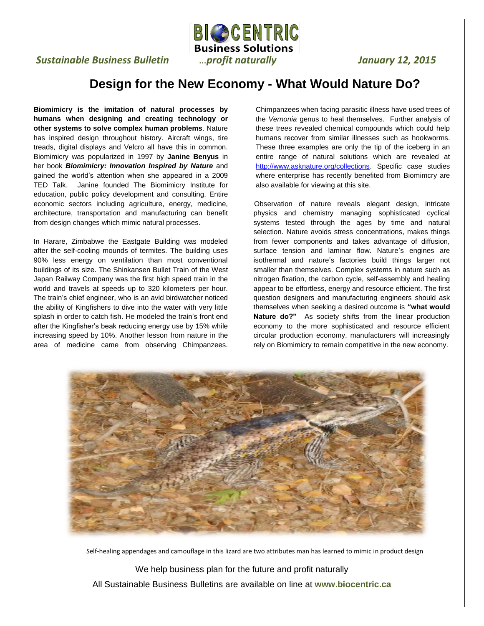## *Sustainable Business Bulletin* …*profit naturally January 12, 2015*

 $\overline{a}$ 

**Business Solutions**

## **Design for the New Economy - What Would Nature Do?**

**Biomimicry is the imitation of natural processes by humans when designing and creating technology or other systems to solve complex human problems**. Nature has inspired design throughout history. Aircraft wings, tire treads, digital displays and Velcro all have this in common. Biomimicry was popularized in 1997 by **Janine Benyus** in her book *Biomimicry: Innovation Inspired by Nature* and gained the world's attention when she appeared in a 2009 TED Talk. Janine founded The Biomimicry Institute for education, public policy development and consulting. Entire economic sectors including agriculture, energy, medicine, architecture, transportation and manufacturing can benefit from design changes which mimic natural processes.

In Harare, Zimbabwe the Eastgate Building was modeled after the self-cooling mounds of termites. The building uses 90% less energy on ventilation than most conventional buildings of its size. The Shinkansen Bullet Train of the West Japan Railway Company was the first high speed train in the world and travels at speeds up to 320 kilometers per hour. The train's chief engineer, who is an avid birdwatcher noticed the ability of Kingfishers to dive into the water with very little splash in order to catch fish. He modeled the train's front end after the Kingfisher's beak reducing energy use by 15% while increasing speed by 10%. Another lesson from nature in the area of medicine came from observing Chimpanzees.

Chimpanzees when facing parasitic illness have used trees of the *Vernonia* genus to heal themselves. Further analysis of these trees revealed chemical compounds which could help humans recover from similar illnesses such as hookworms. These three examples are only the tip of the iceberg in an entire range of natural solutions which are revealed at [http://www.asknature.org/collections.](http://www.asknature.org/collections) Specific case studies where enterprise has recently benefited from Biomimcry are also available for viewing at this site.

 Observation of nature reveals elegant design, intricate physics and chemistry managing sophisticated cyclical systems tested through the ages by time and natural selection. Nature avoids stress concentrations, makes things from fewer components and takes advantage of diffusion, surface tension and laminar flow. Nature's engines are isothermal and nature's factories build things larger not smaller than themselves. Complex systems in nature such as nitrogen fixation, the carbon cycle, self-assembly and healing appear to be effortless, energy and resource efficient. The first question designers and manufacturing engineers should ask themselves when seeking a desired outcome is **"what would Nature do?"** As society shifts from the linear production economy to the more sophisticated and resource efficient circular production economy, manufacturers will increasingly rely on Biomimicry to remain competitive in the new economy.



Self-healing appendages and camouflage in this lizard are two attributes man has learned to mimic in product design

We help business plan for the future and profit naturally All Sustainable Business Bulletins are available on line at **www.biocentric.ca**